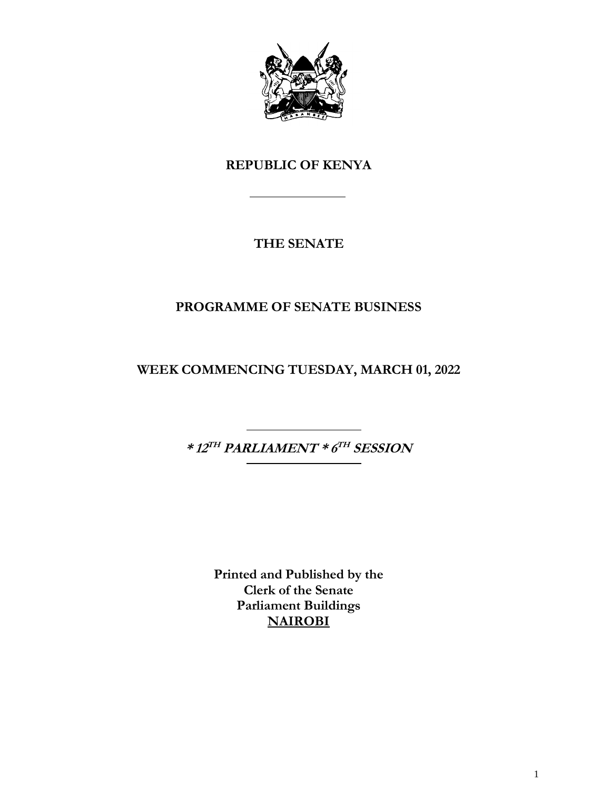

## **REPUBLIC OF KENYA**

## **THE SENATE**

## **PROGRAMME OF SENATE BUSINESS**

**WEEK COMMENCING TUESDAY, MARCH 01, 2022**

**\* 12 TH PARLIAMENT \* 6 TH SESSION**

**Printed and Published by the Clerk of the Senate Parliament Buildings NAIROBI**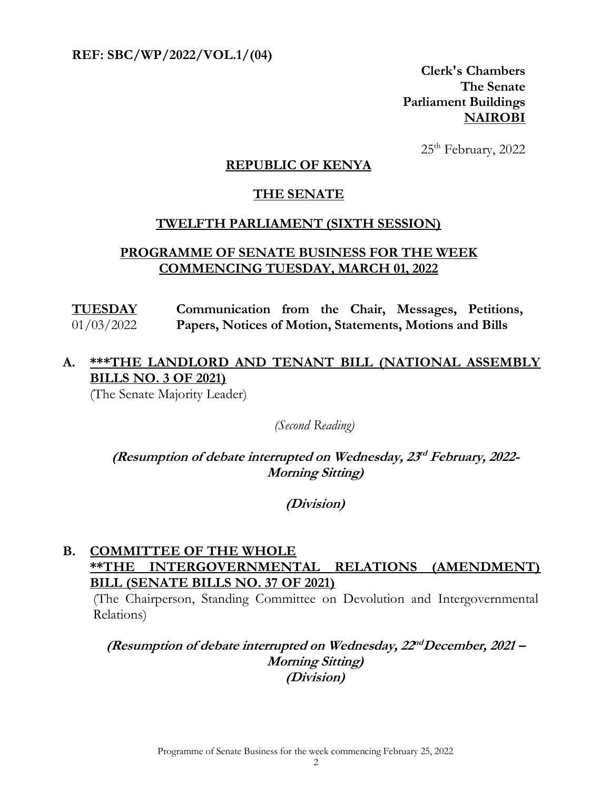**REF: SBC/WP/2022/VOL.1/(04)** 

**Clerk's Chambers The Senate Parliament Buildings NAIROBI**

25th February, 2022

#### **REPUBLIC OF KENYA**

#### **THE SENATE**

#### **TWELFTH PARLIAMENT (SIXTH SESSION)**

#### **PROGRAMME OF SENATE BUSINESS FOR THE WEEK COMMENCING TUESDAY, MARCH 01, 2022**

**TUESDAY** 01/03/2022 **Communication from the Chair, Messages, Petitions, Papers, Notices of Motion, Statements, Motions and Bills**

# **A. \*\*\*THE LANDLORD AND TENANT BILL (NATIONAL ASSEMBLY BILLS NO. 3 OF 2021)**

(The Senate Majority Leader)

*(Second Reading)*

**(Resumption of debate interrupted on Wednesday, 23 rd February, 2022- Morning Sitting)**

**(Division)**

#### **B. COMMITTEE OF THE WHOLE \*\*THE INTERGOVERNMENTAL RELATIONS (AMENDMENT) BILL (SENATE BILLS NO. 37 OF 2021)**

(The Chairperson, Standing Committee on Devolution and Intergovernmental Relations)

(Resumption of debate interrupted on Wednesday,  $22^{nd}$ December, 2021 – **Morning Sitting) (Division)**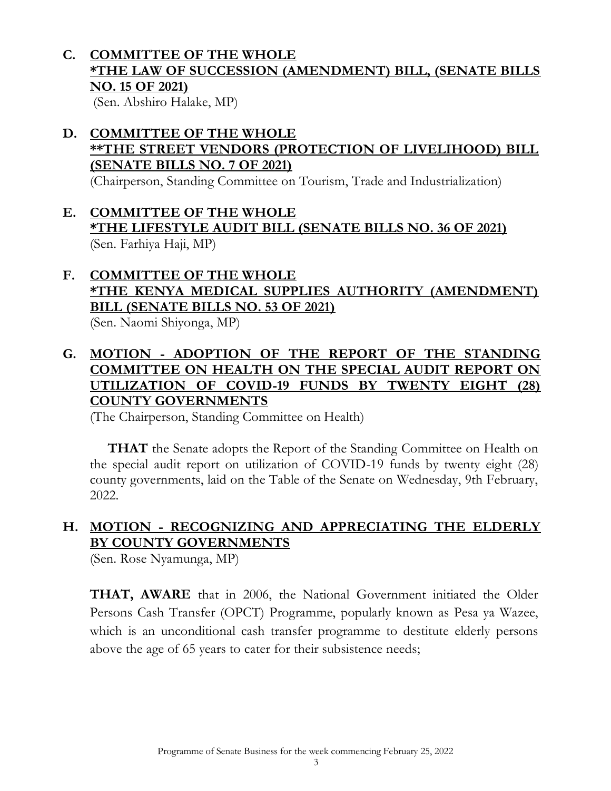## **C. COMMITTEE OF THE WHOLE \*THE LAW OF SUCCESSION (AMENDMENT) BILL, (SENATE BILLS NO. 15 OF 2021)**

(Sen. Abshiro Halake, MP)

### **D. COMMITTEE OF THE WHOLE \*\*THE STREET VENDORS (PROTECTION OF LIVELIHOOD) BILL (SENATE BILLS NO. 7 OF 2021)**

(Chairperson, Standing Committee on Tourism, Trade and Industrialization)

## **E. COMMITTEE OF THE WHOLE \*THE LIFESTYLE AUDIT BILL (SENATE BILLS NO. 36 OF 2021)**  (Sen. Farhiya Haji, MP)

# **F. COMMITTEE OF THE WHOLE \*THE KENYA MEDICAL SUPPLIES AUTHORITY (AMENDMENT) BILL (SENATE BILLS NO. 53 OF 2021)**

(Sen. Naomi Shiyonga, MP)

## **G. MOTION - ADOPTION OF THE REPORT OF THE STANDING COMMITTEE ON HEALTH ON THE SPECIAL AUDIT REPORT ON UTILIZATION OF COVID-19 FUNDS BY TWENTY EIGHT (28) COUNTY GOVERNMENTS**

(The Chairperson, Standing Committee on Health)

**THAT** the Senate adopts the Report of the Standing Committee on Health on the special audit report on utilization of COVID-19 funds by twenty eight (28) county governments, laid on the Table of the Senate on Wednesday, 9th February, 2022.

# **H. MOTION - RECOGNIZING AND APPRECIATING THE ELDERLY BY COUNTY GOVERNMENTS**

(Sen. Rose Nyamunga, MP)

**THAT, AWARE** that in 2006, the National Government initiated the Older Persons Cash Transfer (OPCT) Programme, popularly known as Pesa ya Wazee, which is an unconditional cash transfer programme to destitute elderly persons above the age of 65 years to cater for their subsistence needs;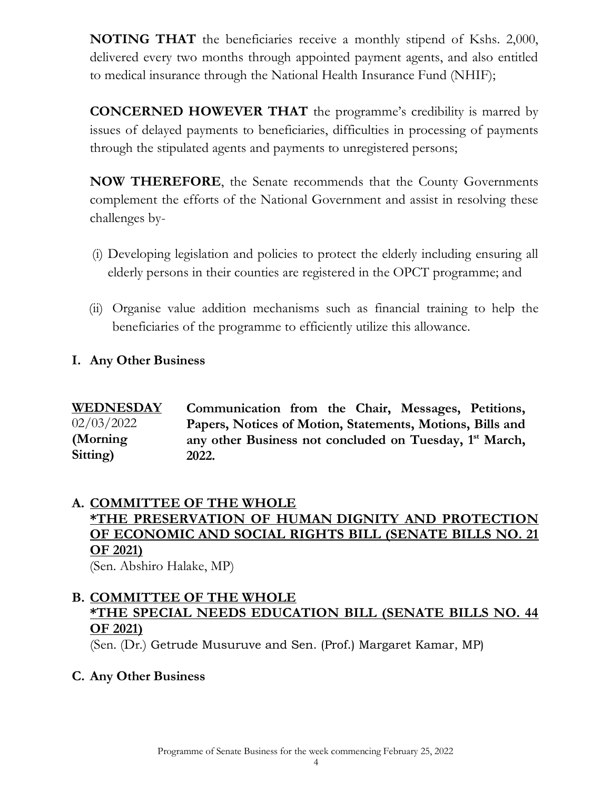**NOTING THAT** the beneficiaries receive a monthly stipend of Kshs. 2,000, delivered every two months through appointed payment agents, and also entitled to medical insurance through the National Health Insurance Fund (NHIF);

**CONCERNED HOWEVER THAT** the programme's credibility is marred by issues of delayed payments to beneficiaries, difficulties in processing of payments through the stipulated agents and payments to unregistered persons;

**NOW THEREFORE**, the Senate recommends that the County Governments complement the efforts of the National Government and assist in resolving these challenges by-

- (i) Developing legislation and policies to protect the elderly including ensuring all elderly persons in their counties are registered in the OPCT programme; and
- (ii) Organise value addition mechanisms such as financial training to help the beneficiaries of the programme to efficiently utilize this allowance.

### **I. Any Other Business**

**WEDNESDAY**  02/03/2022 **(Morning Sitting) Communication from the Chair, Messages, Petitions, Papers, Notices of Motion, Statements, Motions, Bills and**  any other Business not concluded on Tuesday, 1<sup>st</sup> March, **2022.** 

## **A. COMMITTEE OF THE WHOLE \*THE PRESERVATION OF HUMAN DIGNITY AND PROTECTION OF ECONOMIC AND SOCIAL RIGHTS BILL (SENATE BILLS NO. 21 OF 2021)**

(Sen. Abshiro Halake, MP)

## **B. COMMITTEE OF THE WHOLE \*THE SPECIAL NEEDS EDUCATION BILL (SENATE BILLS NO. 44 OF 2021)**

(Sen. (Dr.) Getrude Musuruve and Sen. (Prof.) Margaret Kamar, MP)

**C. Any Other Business**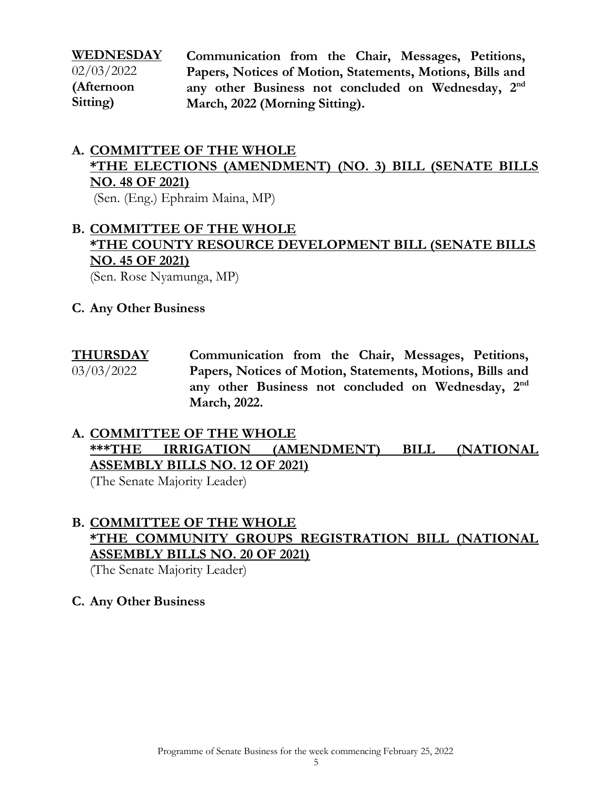**WEDNESDAY**  02/03/2022 **(Afternoon Sitting)**

**Communication from the Chair, Messages, Petitions, Papers, Notices of Motion, Statements, Motions, Bills and**  any other Business not concluded on Wednesday, 2<sup>nd</sup> **March, 2022 (Morning Sitting).**

### **A. COMMITTEE OF THE WHOLE \*THE ELECTIONS (AMENDMENT) (NO. 3) BILL (SENATE BILLS NO. 48 OF 2021)** (Sen. (Eng.) Ephraim Maina, MP)

# **B. COMMITTEE OF THE WHOLE \*THE COUNTY RESOURCE DEVELOPMENT BILL (SENATE BILLS NO. 45 OF 2021)**

(Sen. Rose Nyamunga, MP)

- **C. Any Other Business**
- **THURSDAY**  03/03/2022 **Communication from the Chair, Messages, Petitions, Papers, Notices of Motion, Statements, Motions, Bills and**  any other Business not concluded on Wednesday, 2<sup>nd</sup> **March, 2022.**

# **A. COMMITTEE OF THE WHOLE \*\*\*THE IRRIGATION (AMENDMENT) BILL (NATIONAL ASSEMBLY BILLS NO. 12 OF 2021)**

(The Senate Majority Leader)

# **B. COMMITTEE OF THE WHOLE \*THE COMMUNITY GROUPS REGISTRATION BILL (NATIONAL ASSEMBLY BILLS NO. 20 OF 2021)**

(The Senate Majority Leader)

### **C. Any Other Business**